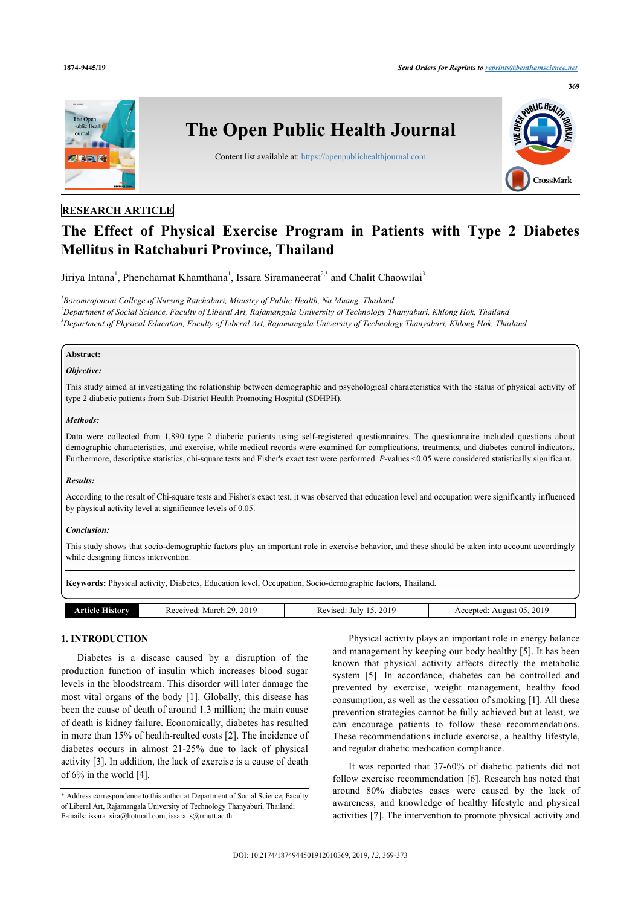

# **RESEARCH ARTICLE**

# **The Effect of Physical Exercise Program in Patients with Type 2 Diabetes Mellitus in Ratchaburi Province, Thailand**

Jiriya Intana<sup>[1](#page-0-0)</sup>, Phenchamat Khamthana<sup>1</sup>, Issara Siramaneerat<sup>[2,](#page-0-1)[\\*](#page-0-2)</sup> and Chalit Chaowilai<sup>[3](#page-0-3)</sup>

<span id="page-0-3"></span><span id="page-0-1"></span><span id="page-0-0"></span>*1 Boromrajonani College of Nursing Ratchaburi, Ministry of Public Health, Na Muang, Thailand <sup>2</sup>Department of Social Science, Faculty of Liberal Art, Rajamangala University of Technology Thanyaburi, Khlong Hok, Thailand <sup>3</sup>Department of Physical Education, Faculty of Liberal Art, Rajamangala University of Technology Thanyaburi, Khlong Hok, Thailand*

# **Abstract:**

#### *Objective:*

This study aimed at investigating the relationship between demographic and psychological characteristics with the status of physical activity of type 2 diabetic patients from Sub-District Health Promoting Hospital (SDHPH).

#### *Methods:*

Data were collected from 1,890 type 2 diabetic patients using self-registered questionnaires. The questionnaire included questions about demographic characteristics, and exercise, while medical records were examined for complications, treatments, and diabetes control indicators. Furthermore, descriptive statistics, chi-square tests and Fisher's exact test were performed. *P*-values <0.05 were considered statistically significant.

#### *Results:*

According to the result of Chi-square tests and Fisher's exact test, it was observed that education level and occupation were significantly influenced by physical activity level at significance levels of 0.05.

#### *Conclusion:*

This study shows that socio-demographic factors play an important role in exercise behavior, and these should be taken into account accordingly while designing fitness intervention.

| Keywords: Physical activity, Diabetes, Education level, Occupation, Socio-demographic factors, Thailand. |                          |                        |                           |  |  |  |  |
|----------------------------------------------------------------------------------------------------------|--------------------------|------------------------|---------------------------|--|--|--|--|
|                                                                                                          |                          |                        |                           |  |  |  |  |
| <b>Article History</b>                                                                                   | Received: March 29, 2019 | Revised: July 15, 2019 | Accepted: August 05, 2019 |  |  |  |  |

#### **1. INTRODUCTION**

Diabetes is a disease caused by a disruption of the production function of insulin which increases blood sugar levels in the bloodstream. This disorder will later damage the most vital organs of the body [[1\]](#page-3-0). Globally, this disease has been the cause of death of around 1.3 million; the main cause of death is kidney failure. Economically, diabetes has resulted in more than 15% of health-realted costs [[2\]](#page-3-1). The incidence of diabetes occurs in almost 21-25% due to lack of physical activity [\[3\]](#page-3-2). In addition, the lack of exercise is a cause of death of 6% in the world [\[4\]](#page-3-3).

Physical activity plays an important role in energy balance and management by keeping our body healthy [[5](#page-3-4)]. It has been known that physical activity affects directly the metabolic system [\[5\]](#page-3-4). In accordance, diabetes can be controlled and prevented by exercise, weight management, healthy food consumption, as well as the cessation of smoking [[1](#page-3-0)]. All these prevention strategies cannot be fully achieved but at least, we can encourage patients to follow these recommendations. These recommendations include exercise, a healthy lifestyle, and regular diabetic medication compliance.

It was reported that 37-60% of diabetic patients did not follow exercise recommendation [[6](#page-3-5)]. Research has noted that around 80% diabetes cases were caused by the lack of awareness, and knowledge of healthy lifestyle and physical activities [\[7\]](#page-3-6). The intervention to promote physical activity and

<span id="page-0-2"></span><sup>\*</sup> Address correspondence to this author at Department of Social Science, Faculty of Liberal Art, Rajamangala University of Technology Thanyaburi, Thailand; E-mails: [issara\\_sira@hotmail.com](mailto:issara_sira@hotmail.com), [issara\\_s@rmutt.ac.th](mailto:issara_s@rmutt.ac.th)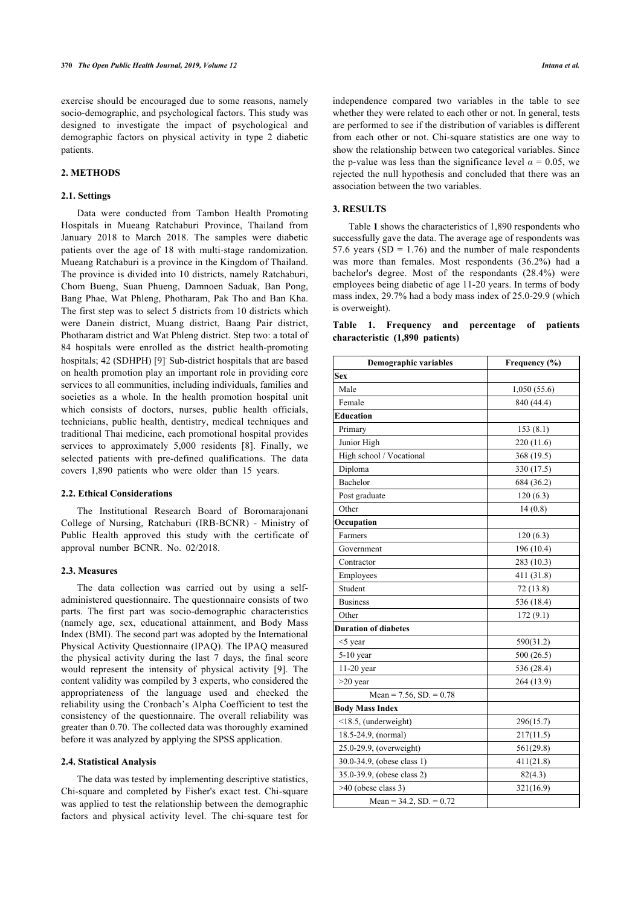exercise should be encouraged due to some reasons, namely socio-demographic, and psychological factors. This study was designed to investigate the impact of psychological and demographic factors on physical activity in type 2 diabetic patients.

# **2. METHODS**

#### **2.1. Settings**

Data were conducted from Tambon Health Promoting Hospitals in Mueang Ratchaburi Province, Thailand from January 2018 to March 2018. The samples were diabetic patients over the age of 18 with multi-stage randomization. Mueang Ratchaburi is a province in the Kingdom of Thailand. The province is divided into 10 districts, namely Ratchaburi, Chom Bueng, Suan Phueng, Damnoen Saduak, Ban Pong, Bang Phae, Wat Phleng, Photharam, Pak Tho and Ban Kha. The first step was to select 5 districts from 10 districts which were Danein district, Muang district, Baang Pair district, Photharam district and Wat Phleng district. Step two: a total of 84 hospitals were enrolled as the district health-promoting hospitals; 42 (SDHPH) [\[9\]](#page-3-7) Sub-district hospitals that are based on health promotion play an important role in providing core services to all communities, including individuals, families and societies as a whole. In the health promotion hospital unit which consists of doctors, nurses, public health officials, technicians, public health, dentistry, medical techniques and traditional Thai medicine, each promotional hospital provides services to approximately 5,000 residents[[8](#page-3-8)]. Finally, we selected patients with pre-defined qualifications. The data covers 1,890 patients who were older than 15 years.

#### **2.2. Ethical Considerations**

The Institutional Research Board of Boromarajonani College of Nursing, Ratchaburi (IRB-BCNR) - Ministry of Public Health approved this study with the certificate of approval number BCNR. No. 02/2018.

#### **2.3. Measures**

The data collection was carried out by using a selfadministered questionnaire. The questionnaire consists of two parts. The first part was socio-demographic characteristics (namely age, sex, educational attainment, and Body Mass Index (BMI). The second part was adopted by the International Physical Activity Questionnaire (IPAQ). The IPAQ measured the physical activity during the last 7 days, the final score would represent the intensity of physical activity[[9](#page-3-7)]. The content validity was compiled by 3 experts, who considered the appropriateness of the language used and checked the reliability using the Cronbach's Alpha Coefficient to test the consistency of the questionnaire. The overall reliability was greater than 0.70. The collected data was thoroughly examined before it was analyzed by applying the SPSS application.

## **2.4. Statistical Analysis**

The data was tested by implementing descriptive statistics, Chi-square and completed by Fisher's exact test. Chi-square was applied to test the relationship between the demographic factors and physical activity level. The chi-square test for

independence compared two variables in the table to see whether they were related to each other or not. In general, tests are performed to see if the distribution of variables is different from each other or not. Chi-square statistics are one way to show the relationship between two categorical variables. Since the p-value was less than the significance level  $\alpha = 0.05$ , we rejected the null hypothesis and concluded that there was an association between the two variables.

### **3. RESULTS**

Table **[1](#page--1-0)** shows the characteristics of 1,890 respondents who successfully gave the data. The average age of respondents was 57.6 years ( $SD = 1.76$ ) and the number of male respondents was more than females. Most respondents (36.2%) had a bachelor's degree. Most of the respondants (28.4%) were employees being diabetic of age 11-20 years. In terms of body mass index, 29.7% had a body mass index of 25.0-29.9 (which is overweight).

|  |                                 | Table 1. Frequency and percentage of patients |  |
|--|---------------------------------|-----------------------------------------------|--|
|  | characteristic (1,890 patients) |                                               |  |

| <b>Demographic variables</b> | Frequency (%) |  |  |  |
|------------------------------|---------------|--|--|--|
| <b>Sex</b>                   |               |  |  |  |
| Male                         | 1,050(55.6)   |  |  |  |
| Female                       | 840 (44.4)    |  |  |  |
| Education                    |               |  |  |  |
| Primary                      | 153(8.1)      |  |  |  |
| Junior High                  | 220(11.6)     |  |  |  |
| High school / Vocational     | 368 (19.5)    |  |  |  |
| Diploma                      | 330 (17.5)    |  |  |  |
| Bachelor                     | 684 (36.2)    |  |  |  |
| Post graduate                | 120(6.3)      |  |  |  |
| Other                        | 14(0.8)       |  |  |  |
| Occupation                   |               |  |  |  |
| Farmers                      | 120(6.3)      |  |  |  |
| Government                   | 196 (10.4)    |  |  |  |
| Contractor                   | 283 (10.3)    |  |  |  |
| Employees                    | 411 (31.8)    |  |  |  |
| Student                      | 72 (13.8)     |  |  |  |
| <b>Business</b>              | 536 (18.4)    |  |  |  |
| Other                        | 172(9.1)      |  |  |  |
| <b>Duration of diabetes</b>  |               |  |  |  |
| $<$ 5 year                   | 590(31.2)     |  |  |  |
| 5-10 year                    | 500 (26.5)    |  |  |  |
| 11-20 year                   | 536 (28.4)    |  |  |  |
| $>20$ year                   | 264 (13.9)    |  |  |  |
| Mean = $7.56$ , SD. = $0.78$ |               |  |  |  |
| <b>Body Mass Index</b>       |               |  |  |  |
| <18.5, (underweight)         | 296(15.7)     |  |  |  |
| 18.5-24.9, (normal)          | 217(11.5)     |  |  |  |
| 25.0-29.9, (overweight)      | 561(29.8)     |  |  |  |
| 30.0-34.9, (obese class 1)   | 411(21.8)     |  |  |  |
| 35.0-39.9, (obese class 2)   | 82(4.3)       |  |  |  |
| $>40$ (obese class 3)        | 321(16.9)     |  |  |  |
| Mean = $34.2$ , SD. = $0.72$ |               |  |  |  |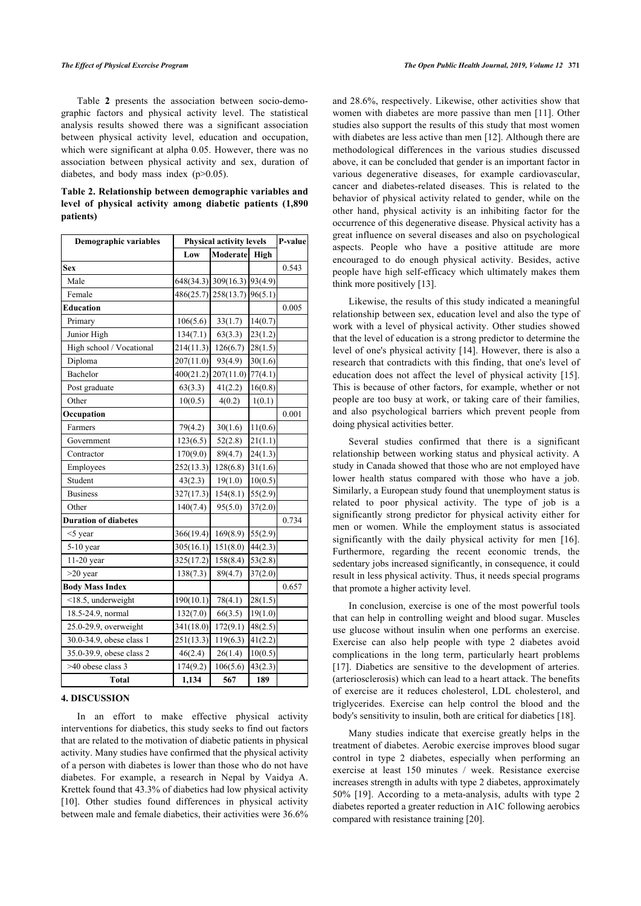Table**2** presents the association between socio-demographic factors and physical activity level. The statistical analysis results showed there was a significant association between physical activity level, education and occupation, which were significant at alpha 0.05. However, there was no association between physical activity and sex, duration of diabetes, and body mass index (p>0.05).

**Table 2. Relationship between demographic variables and level of physical activity among diabetic patients (1,890 patients)**

| <b>Demographic variables</b> | <b>Physical activity levels</b> |                     |         | P-value |
|------------------------------|---------------------------------|---------------------|---------|---------|
|                              | Low                             | Moderate            | High    |         |
| <b>Sex</b>                   |                                 |                     |         | 0.543   |
| Male                         |                                 | 648(34.3) 309(16.3) | 93(4.9) |         |
| Female                       | 486(25.7)                       | 258(13.7)           | 96(5.1) |         |
| <b>Education</b>             |                                 |                     |         | 0.005   |
| Primary                      | 106(5.6)                        | 33(1.7)             | 14(0.7) |         |
| Junior High                  | 134(7.1)                        | 63(3.3)             | 23(1.2) |         |
| High school / Vocational     | 214(11.3)                       | 126(6.7)            | 28(1.5) |         |
| Diploma                      | 207(11.0)                       | 93(4.9)             | 30(1.6) |         |
| Bachelor                     | 400(21.2)                       | 207(11.0)           | 77(4.1) |         |
| Post graduate                | 63(3.3)                         | 41(2.2)             | 16(0.8) |         |
| Other                        | 10(0.5)                         | 4(0.2)              | 1(0.1)  |         |
| Occupation                   |                                 |                     |         | 0.001   |
| Farmers                      | 79(4.2)                         | 30(1.6)             | 11(0.6) |         |
| Government                   | 123(6.5)                        | 52(2.8)             | 21(1.1) |         |
| Contractor                   | 170(9.0)                        | 89(4.7)             | 24(1.3) |         |
| Employees                    | 252(13.3)                       | 128(6.8)            | 31(1.6) |         |
| Student                      | 43(2.3)                         | 19(1.0)             | 10(0.5) |         |
| <b>Business</b>              | 327(17.3)                       | 154(8.1)            | 55(2.9) |         |
| Other                        | 140(7.4)                        | 95(5.0)             | 37(2.0) |         |
| <b>Duration of diabetes</b>  |                                 |                     |         | 0.734   |
| $<$ 5 year                   | 366(19.4)                       | 169(8.9)            | 55(2.9) |         |
| $5-10$ year                  | 305(16.1)                       | 151(8.0)            | 44(2.3) |         |
| 11-20 year                   | 325(17.2)                       | 158(8.4)            | 53(2.8) |         |
| $>20$ year                   | 138(7.3)                        | 89(4.7)             | 37(2.0) |         |
| <b>Body Mass Index</b>       |                                 |                     |         | 0.657   |
| <18.5, underweight           | 190(10.1)                       | 78(4.1)             | 28(1.5) |         |
| 18.5-24.9, normal            | 132(7.0)                        | 66(3.5)             | 19(1.0) |         |
| 25.0-29.9, overweight        | 341(18.0)                       | 172(9.1)            | 48(2.5) |         |
| 30.0-34.9, obese class 1     | 251(13.3)                       | 119(6.3)            | 41(2.2) |         |
| 35.0-39.9, obese class 2     | 46(2.4)                         | 26(1.4)             | 10(0.5) |         |
| >40 obese class 3            | 174(9.2)                        | 106(5.6)            | 43(2.3) |         |
| <b>Total</b>                 | 1,134                           | 567                 | 189     |         |

#### **4. DISCUSSION**

In an effort to make effective physical activity interventions for diabetics, this study seeks to find out factors that are related to the motivation of diabetic patients in physical activity. Many studies have confirmed that the physical activity of a person with diabetes is lower than those who do not have diabetes. For example, a research in Nepal by Vaidya A. Krettek found that 43.3% of diabetics had low physical activity [[10\]](#page-3-9). Other studies found differences in physical activity between male and female diabetics, their activities were 36.6% and 28.6%, respectively. Likewise, other activities show that women with diabetes are more passive than men [[11](#page-3-10)]. Other studies also support the results of this study that most women with diabetes are less active than men [\[12](#page-3-11)]. Although there are methodological differences in the various studies discussed above, it can be concluded that gender is an important factor in various degenerative diseases, for example cardiovascular, cancer and diabetes-related diseases. This is related to the behavior of physical activity related to gender, while on the other hand, physical activity is an inhibiting factor for the occurrence of this degenerative disease. Physical activity has a great influence on several diseases and also on psychological aspects. People who have a positive attitude are more encouraged to do enough physical activity. Besides, active people have high self-efficacy which ultimately makes them think more positively [\[13](#page-3-12)].

Likewise, the results of this study indicated a meaningful relationship between sex, education level and also the type of work with a level of physical activity. Other studies showed that the level of education is a strong predictor to determine the level of one's physical activity [[14\]](#page-3-13). However, there is also a research that contradicts with this finding, that one's level of education does not affect the level of physical activity [[15](#page-3-14)]. This is because of other factors, for example, whether or not people are too busy at work, or taking care of their families, and also psychological barriers which prevent people from doing physical activities better.

Several studies confirmed that there is a significant relationship between working status and physical activity. A study in Canada showed that those who are not employed have lower health status compared with those who have a job. Similarly, a European study found that unemployment status is related to poor physical activity. The type of job is a significantly strong predictor for physical activity either for men or women. While the employment status is associated significantly with the daily physical activity for men[[16](#page-3-15)]. Furthermore, regarding the recent economic trends, the sedentary jobs increased significantly, in consequence, it could result in less physical activity. Thus, it needs special programs that promote a higher activity level.

In conclusion, exercise is one of the most powerful tools that can help in controlling weight and blood sugar. Muscles use glucose without insulin when one performs an exercise. Exercise can also help people with type 2 diabetes avoid complications in the long term, particularly heart problems [[17](#page-3-16)]. Diabetics are sensitive to the development of arteries. (arteriosclerosis) which can lead to a heart attack. The benefits of exercise are it reduces cholesterol, LDL cholesterol, and triglycerides. Exercise can help control the blood and the body's sensitivity to insulin, both are critical for diabetics [[18\]](#page-3-17).

Many studies indicate that exercise greatly helps in the treatment of diabetes. Aerobic exercise improves blood sugar control in type 2 diabetes, especially when performing an exercise at least 150 minutes / week. Resistance exercise increases strength in adults with type 2 diabetes, approximately 50%[[19\]](#page-3-18). According to a meta-analysis, adults with type 2 diabetes reported a greater reduction in A1C following aerobics compared with resistance training [[20\]](#page-4-0).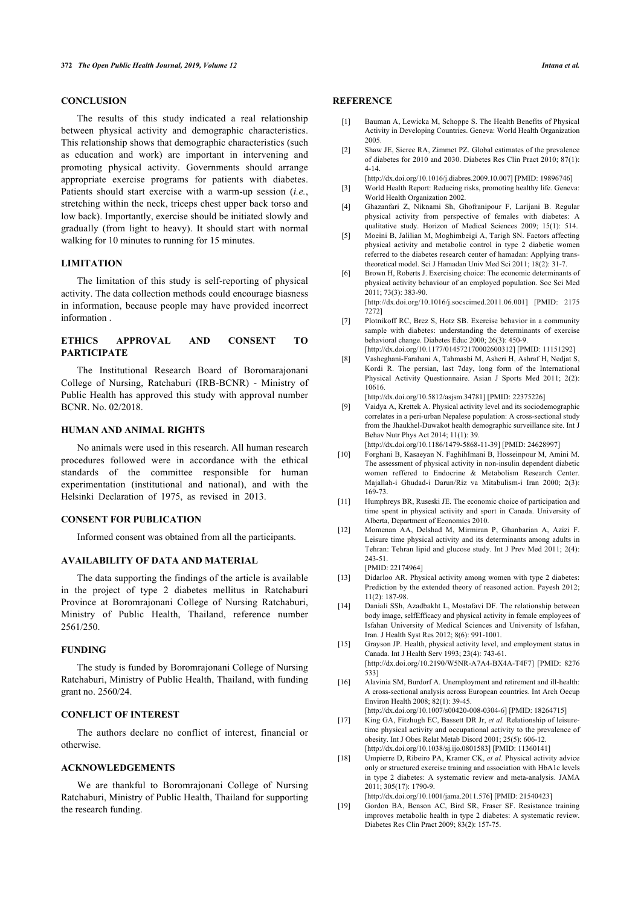# **CONCLUSION**

<span id="page-3-2"></span><span id="page-3-1"></span><span id="page-3-0"></span>The results of this study indicated a real relationship between physical activity and demographic characteristics. This relationship shows that demographic characteristics (such as education and work) are important in intervening and promoting physical activity. Governments should arrange appropriate exercise programs for patients with diabetes. Patients should start exercise with a warm-up session (*i.e.*, stretching within the neck, triceps chest upper back torso and low back). Importantly, exercise should be initiated slowly and gradually (from light to heavy). It should start with normal walking for 10 minutes to running for 15 minutes.

# <span id="page-3-4"></span><span id="page-3-3"></span>**LIMITATION**

<span id="page-3-5"></span>The limitation of this study is self-reporting of physical activity. The data collection methods could encourage biasness in information, because people may have provided incorrect information .

# <span id="page-3-6"></span>**ETHICS APPROVAL AND CONSENT TO PARTICIPATE**

<span id="page-3-8"></span>The Institutional Research Board of Boromarajonani College of Nursing, Ratchaburi (IRB-BCNR) - Ministry of Public Health has approved this study with approval number BCNR. No. 02/2018.

# <span id="page-3-7"></span>**HUMAN AND ANIMAL RIGHTS**

<span id="page-3-9"></span>No animals were used in this research. All human research procedures followed were in accordance with the ethical standards of the committee responsible for human experimentation (institutional and national), and with the Helsinki Declaration of 1975, as revised in 2013.

### <span id="page-3-11"></span><span id="page-3-10"></span>**CONSENT FOR PUBLICATION**

Informed consent was obtained from all the participants.

#### **AVAILABILITY OF DATA AND MATERIAL**

<span id="page-3-13"></span><span id="page-3-12"></span>The data supporting the findings of the article is available in the project of type 2 diabetes mellitus in Ratchaburi Province at Boromrajonani College of Nursing Ratchaburi, Ministry of Public Health, Thailand, reference number 2561/250.

#### <span id="page-3-14"></span>**FUNDING**

<span id="page-3-15"></span>The study is funded by Boromrajonani College of Nursing Ratchaburi, Ministry of Public Health, Thailand, with funding grant no. 2560/24.

#### <span id="page-3-16"></span>**CONFLICT OF INTEREST**

The authors declare no conflict of interest, financial or otherwise.

#### <span id="page-3-17"></span>**ACKNOWLEDGEMENTS**

<span id="page-3-18"></span>We are thankful to Boromrajonani College of Nursing Ratchaburi, Ministry of Public Health, Thailand for supporting the research funding.

#### **REFERENCE**

- [1] Bauman A, Lewicka M, Schoppe S, The Health Benefits of Physical Activity in Developing Countries. Geneva: World Health Organization 2005.
- [2] Shaw JE, Sicree RA, Zimmet PZ. Global estimates of the prevalence of diabetes for 2010 and 2030. Diabetes Res Clin Pract 2010; 87(1): 4-14.
- [\[http://dx.doi.org/10.1016/j.diabres.2009.10.007](http://dx.doi.org/10.1016/j.diabres.2009.10.007)] [PMID: [19896746\]](http://www.ncbi.nlm.nih.gov/pubmed/19896746) [3] World Health Report: Reducing risks, promoting healthy life. Geneva: World Health Organization 2002.
- [4] Ghazanfari Z, Niknami Sh, Ghofranipour F, Larijani B. Regular physical activity from perspective of females with diabetes: A qualitative study. Horizon of Medical Sciences 2009; 15(1): 514.
- [5] Moeini B, Jalilian M, Moghimbeigi A, Tarigh SN. Factors affecting physical activity and metabolic control in type 2 diabetic women referred to the diabetes research center of hamadan: Applying transtheoretical model. Sci J Hamadan Univ Med Sci 2011; 18(2): 31-7.
- [6] Brown H, Roberts J. Exercising choice: The economic determinants of physical activity behaviour of an employed population. Soc Sci Med 2011; 73(3): 383-90.

[\[http://dx.doi.org/10.1016/j.socscimed.2011.06.001](http://dx.doi.org/10.1016/j.socscimed.2011.06.001)] [PMID: [2175](http://www.ncbi.nlm.nih.gov/pubmed/2175%207272) [7272\]](http://www.ncbi.nlm.nih.gov/pubmed/2175%207272)

- [7] Plotnikoff RC, Brez S, Hotz SB. Exercise behavior in a community sample with diabetes: understanding the determinants of exercise behavioral change. Diabetes Educ 2000; 26(3): 450-9. [\[http://dx.doi.org/10.1177/014572170002600312](http://dx.doi.org/10.1177/014572170002600312)] [PMID: [11151292](http://www.ncbi.nlm.nih.gov/pubmed/11151292)]
- [8] Vasheghani-Farahani A, Tahmasbi M, Asheri H, Ashraf H, Nedjat S, Kordi R. The persian, last 7day, long form of the International Physical Activity Questionnaire. Asian J Sports Med 2011; 2(2): 10616.
	- [\[http://dx.doi.org/10.5812/asjsm.34781\]](http://dx.doi.org/10.5812/asjsm.34781) [PMID: [22375226](http://www.ncbi.nlm.nih.gov/pubmed/22375226)]
- [9] Vaidya A, Krettek A. Physical activity level and its sociodemographic correlates in a peri-urban Nepalese population: A cross-sectional study from the Jhaukhel-Duwakot health demographic surveillance site. Int J Behav Nutr Phys Act 2014; 11(1): 39.
- [\[http://dx.doi.org/10.1186/1479-5868-11-39](http://dx.doi.org/10.1186/1479-5868-11-39)] [PMID: [24628997](http://www.ncbi.nlm.nih.gov/pubmed/24628997)]
- [10] Forghani B, Kasaeyan N. FaghihImani B, Hosseinpour M, Amini M. The assessment of physical activity in non-insulin dependent diabetic women reffered to Endocrine & Metabolism Research Center. Majallah-i Ghudad-i Darun/Riz va Mitabulism-i Iran 2000; 2(3): 169-73.
- [11] Humphreys BR, Ruseski JE. The economic choice of participation and time spent in physical activity and sport in Canada. University of Alberta, Department of Economics 2010.
- [12] Momenan AA, Delshad M, Mirmiran P, Ghanbarian A, Azizi F. Leisure time physical activity and its determinants among adults in Tehran: Tehran lipid and glucose study. Int J Prev Med 2011; 2(4): 243-51.
	- [PMID: [22174964\]](http://www.ncbi.nlm.nih.gov/pubmed/22174964)
- [13] Didarloo AR. Physical activity among women with type 2 diabetes: Prediction by the extended theory of reasoned action. Payesh 2012; 11(2): 187-98.
- [14] Daniali SSh, Azadbakht L, Mostafavi DF. The relationship between body image, selfEfficacy and physical activity in female employees of Isfahan University of Medical Sciences and University of Isfahan, Iran. J Health Syst Res 2012; 8(6): 991-1001.
- [15] Grayson JP. Health, physical activity level, and employment status in Canada. Int J Health Serv 1993; 23(4): 743-61. [\[http://dx.doi.org/10.2190/W5NR-A7A4-BX4A-T4F7\]](http://dx.doi.org/10.2190/W5NR-A7A4-BX4A-T4F7) [PMID: [8276](http://www.ncbi.nlm.nih.gov/pubmed/8276%20533) [533](http://www.ncbi.nlm.nih.gov/pubmed/8276%20533)]
- [16] Alavinia SM, Burdorf A. Unemployment and retirement and ill-health: A cross-sectional analysis across European countries. Int Arch Occup Environ Health 2008; 82(1): 39-45. [\[http://dx.doi.org/10.1007/s00420-008-0304-6\]](http://dx.doi.org/10.1007/s00420-008-0304-6) [PMID: [18264715](http://www.ncbi.nlm.nih.gov/pubmed/18264715)]
- [17] King GA, Fitzhugh EC, Bassett DR Jr, *et al.* Relationship of leisuretime physical activity and occupational activity to the prevalence of obesity. Int J Obes Relat Metab Disord 2001; 25(5): 606-12. [\[http://dx.doi.org/10.1038/sj.ijo.0801583\]](http://dx.doi.org/10.1038/sj.ijo.0801583) [PMID: [11360141](http://www.ncbi.nlm.nih.gov/pubmed/11360141)]
- [18] Umpierre D, Ribeiro PA, Kramer CK, *et al.* Physical activity advice only or structured exercise training and association with HbA1c levels in type 2 diabetes: A systematic review and meta-analysis. JAMA 2011; 305(17): 1790-9.

[\[http://dx.doi.org/10.1001/jama.2011.576](http://dx.doi.org/10.1001/jama.2011.576)] [PMID: [21540423\]](http://www.ncbi.nlm.nih.gov/pubmed/21540423)

[19] Gordon BA, Benson AC, Bird SR, Fraser SF. Resistance training improves metabolic health in type 2 diabetes: A systematic review. Diabetes Res Clin Pract 2009; 83(2): 157-75.